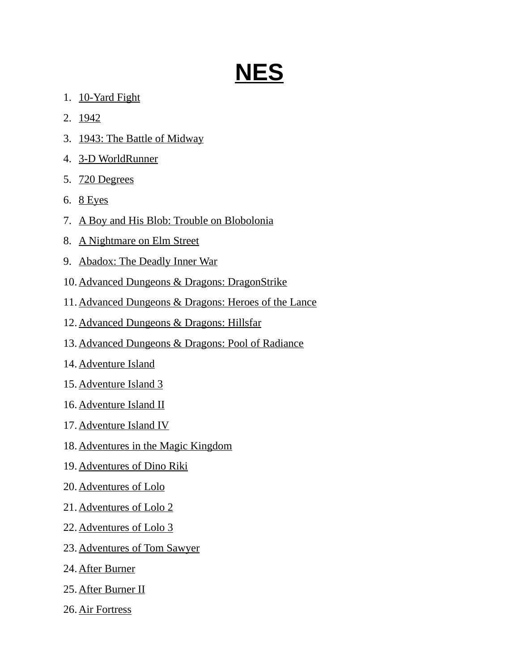## **NES**

- 1. 10-Yard Fight
- 2. 1942
- 3. 1943: The Battle of Midway
- 4. 3-D WorldRunner
- 5. 720 Degrees
- 6. 8 Eyes
- 7. A Boy and His Blob: Trouble on Blobolonia
- 8. A Nightmare on Elm Street
- 9. Abadox: The Deadly Inner War
- 10.Advanced Dungeons & Dragons: DragonStrike
- 11.Advanced Dungeons & Dragons: Heroes of the Lance
- 12.Advanced Dungeons & Dragons: Hillsfar
- 13.Advanced Dungeons & Dragons: Pool of Radiance
- 14. Adventure Island
- 15. Adventure Island 3
- 16. Adventure Island II
- 17. Adventure Island IV
- 18. Adventures in the Magic Kingdom
- 19. Adventures of Dino Riki
- 20. Adventures of Lolo
- 21. Adventures of Lolo 2
- 22. Adventures of Lolo 3
- 23. Adventures of Tom Sawyer
- 24. After Burner
- 25. After Burner II
- 26. Air Fortress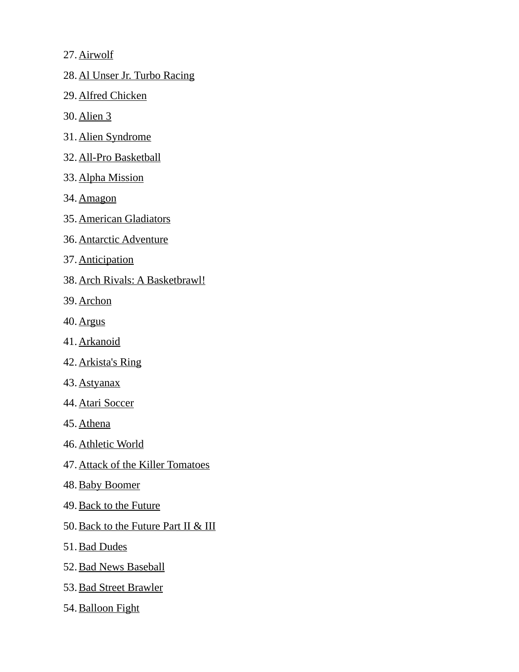27. Airwolf

28. Al Unser Jr. Turbo Racing

29. Alfred Chicken

30. Alien 3

- 31. Alien Syndrome
- 32. All-Pro Basketball
- 33. Alpha Mission
- 34. Amagon
- 35. American Gladiators
- 36. Antarctic Adventure
- 37. Anticipation
- 38. Arch Rivals: A Basketbrawl!
- 39. Archon
- 40. Argus
- 41. Arkanoid
- 42. Arkista's Ring
- 43. Astyanax
- 44. Atari Soccer
- 45. Athena
- 46. Athletic World
- 47. Attack of the Killer Tomatoes
- 48. Baby Boomer
- 49. Back to the Future
- 50. Back to the Future Part II & III
- 51. Bad Dudes
- 52. Bad News Baseball
- 53. Bad Street Brawler
- 54. Balloon Fight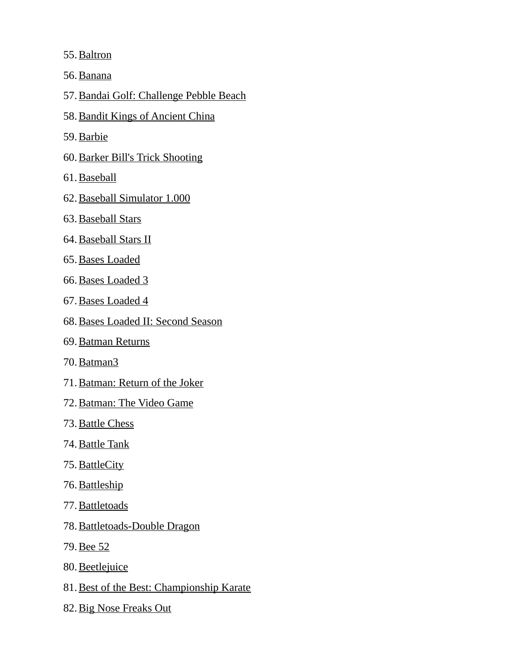55. Baltron

56. Banana

57.Bandai Golf: Challenge Pebble Beach

- 58. Bandit Kings of Ancient China
- 59. Barbie
- 60. Barker Bill's Trick Shooting
- 61. Baseball
- 62. Baseball Simulator 1.000
- 63. Baseball Stars
- 64. Baseball Stars II
- 65. Bases Loaded
- 66. Bases Loaded 3
- 67. Bases Loaded 4
- 68. Bases Loaded II: Second Season
- 69. Batman Returns
- 70. Batman3
- 71. Batman: Return of the Joker
- 72. Batman: The Video Game
- 73. Battle Chess
- 74. Battle Tank
- 75. BattleCity
- 76. Battleship
- 77. Battletoads
- 78. Battletoads-Double Dragon
- 79. Bee 52
- 80. Beetlejuice
- 81.Best of the Best: Championship Karate
- 82. Big Nose Freaks Out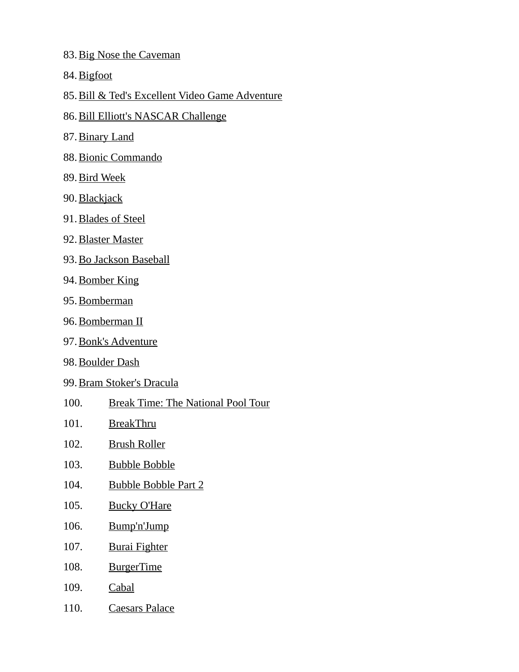- 83. Big Nose the Caveman
- 84. Bigfoot
- 85.Bill & Ted's Excellent Video Game Adventure
- 86. Bill Elliott's NASCAR Challenge
- 87. Binary Land
- 88. Bionic Commando
- 89. Bird Week
- 90. Blackjack
- 91. Blades of Steel
- 92. Blaster Master
- 93. Bo Jackson Baseball
- 94. Bomber King
- 95. Bomberman
- 96. Bomberman II
- 97. Bonk's Adventure
- 98. Boulder Dash
- 99. Bram Stoker's Dracula
- 100. Break Time: The National Pool Tour
- 101. BreakThru
- 102. Brush Roller
- 103. Bubble Bobble
- 104. Bubble Bobble Part 2
- 105. Bucky O'Hare
- 106. Bump'n'Jump
- 107. Burai Fighter
- 108. BurgerTime
- 109. Cabal
- 110. Caesars Palace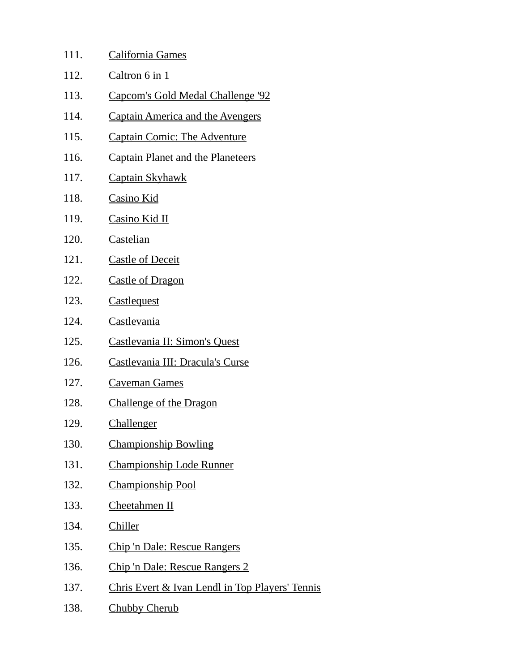| 111. | California Games                                |
|------|-------------------------------------------------|
| 112. | Caltron 6 in 1                                  |
| 113. | Capcom's Gold Medal Challenge '92               |
| 114. | <b>Captain America and the Avengers</b>         |
| 115. | <b>Captain Comic: The Adventure</b>             |
| 116. | <b>Captain Planet and the Planeteers</b>        |
| 117. | <b>Captain Skyhawk</b>                          |
| 118. | <b>Casino Kid</b>                               |
| 119. | <b>Casino Kid II</b>                            |
| 120. | Castelian                                       |
| 121. | <b>Castle of Deceit</b>                         |
| 122. | <b>Castle of Dragon</b>                         |
| 123. | <b>Castlequest</b>                              |
| 124. | Castlevania                                     |
| 125. | Castlevania II: Simon's Quest                   |
| 126. | Castlevania III: Dracula's Curse                |
| 127. | <b>Caveman Games</b>                            |
| 128. | Challenge of the Dragon                         |
| 129. | Challenger                                      |
| 130. | <b>Championship Bowling</b>                     |
| 131. | <b>Championship Lode Runner</b>                 |
| 132. | <b>Championship Pool</b>                        |
| 133. | Cheetahmen II                                   |
| 134. | Chiller                                         |
| 135. | <b>Chip 'n Dale: Rescue Rangers</b>             |
| 136. | Chip 'n Dale: Rescue Rangers 2                  |
| 137. | Chris Evert & Ivan Lendl in Top Players' Tennis |
| 138. | <b>Chubby Cherub</b>                            |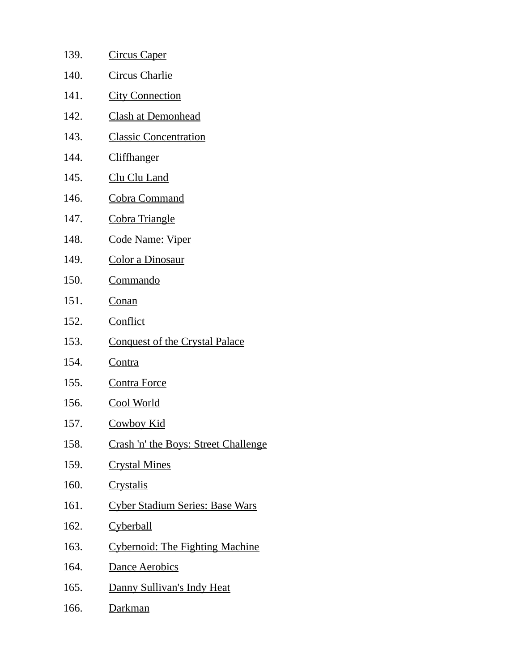| 139. | <u>Circus Caper</u>                    |
|------|----------------------------------------|
| 140. | Circus Charlie                         |
| 141. | <b>City Connection</b>                 |
| 142. | <b>Clash at Demonhead</b>              |
| 143. | <b>Classic Concentration</b>           |
| 144. | <b>Cliffhanger</b>                     |
| 145. | Clu Clu Land                           |
| 146. | Cobra Command                          |
| 147. | <b>Cobra Triangle</b>                  |
| 148. | <u> Code Name: Viper</u>               |
| 149. | Color a Dinosaur                       |
| 150. | <u>Commando</u>                        |
| 151. | <b>Conan</b>                           |
| 152. | <b>Conflict</b>                        |
| 153. | <b>Conquest of the Crystal Palace</b>  |
| 154. | <u>Contra</u>                          |
| 155. | <b>Contra Force</b>                    |
| 156. | <b>Cool World</b>                      |
| 157. | <b>Cowboy Kid</b>                      |
| 158. | Crash 'n' the Boys: Street Challenge   |
| 159. | <b>Crystal Mines</b>                   |
| 160. | <b>Crystalis</b>                       |
| 161. | <b>Cyber Stadium Series: Base Wars</b> |
| 162. | <b>Cyberball</b>                       |
| 163. | <b>Cybernoid: The Fighting Machine</b> |
| 164. | <b>Dance Aerobics</b>                  |
| 165. | Danny Sullivan's Indy Heat             |
| 166. | <u>Darkman</u>                         |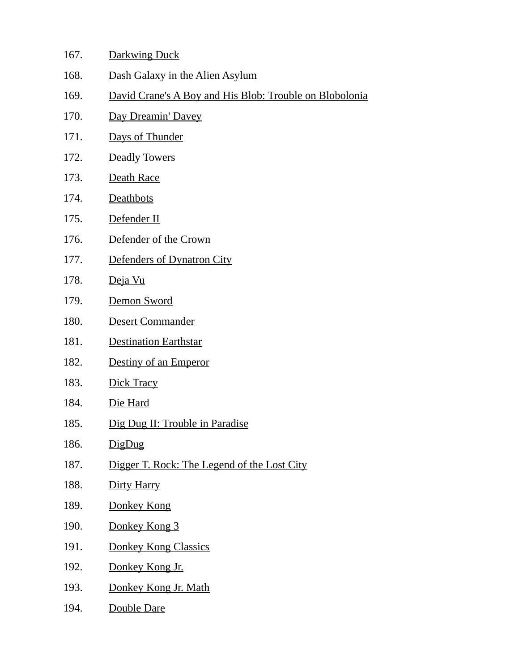| 167. | <b>Darkwing Duck</b>                                    |
|------|---------------------------------------------------------|
| 168. | Dash Galaxy in the Alien Asylum                         |
| 169. | David Crane's A Boy and His Blob: Trouble on Blobolonia |
| 170. | Day Dreamin' Davey                                      |
| 171. | Days of Thunder                                         |
| 172. | <b>Deadly Towers</b>                                    |
| 173. | Death Race                                              |
| 174. | Deathbots                                               |
| 175. | Defender II                                             |
| 176. | Defender of the Crown                                   |
| 177. | Defenders of Dynatron City                              |
| 178. | Deja Vu                                                 |
| 179. | Demon Sword                                             |
| 180. | Desert Commander                                        |
| 181. | <b>Destination Earthstar</b>                            |
| 182. | Destiny of an Emperor                                   |
| 183. | Dick Tracy                                              |
| 184. | Die Hard                                                |
| 185. | Dig Dug II: Trouble in Paradise                         |
| 186. | DigDug                                                  |
| 187. | Digger T. Rock: The Legend of the Lost City             |
| 188. | Dirty Harry                                             |
| 189. | Donkey Kong                                             |
| 190. | Donkey Kong 3                                           |
| 191. | <b>Donkey Kong Classics</b>                             |
| 192. | Donkey Kong Jr.                                         |
| 193. | Donkey Kong Jr. Math                                    |
| 194. | Double Dare                                             |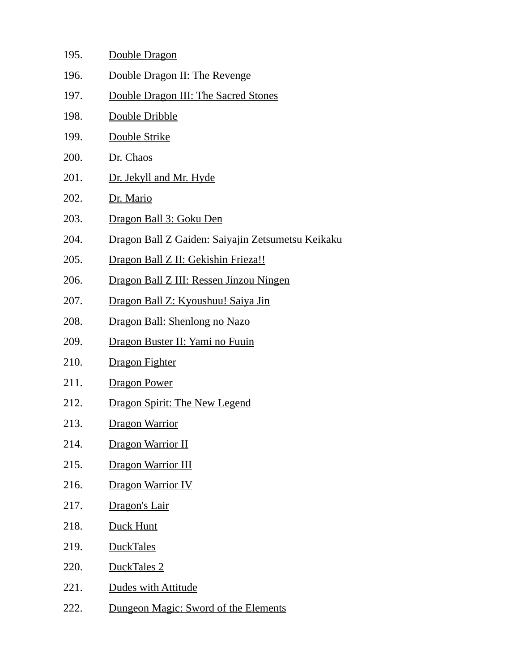| 195. | Double Dragon                                             |
|------|-----------------------------------------------------------|
| 196. | Double Dragon II: The Revenge                             |
| 197. | Double Dragon III: The Sacred Stones                      |
| 198. | Double Dribble                                            |
| 199. | Double Strike                                             |
| 200. | Dr. Chaos                                                 |
| 201. | Dr. Jekyll and Mr. Hyde                                   |
| 202. | Dr. Mario                                                 |
| 203. | Dragon Ball 3: Goku Den                                   |
| 204. | <u> Dragon Ball Z Gaiden: Saiyajin Zetsumetsu Keikaku</u> |
| 205. | Dragon Ball Z II: Gekishin Frieza!!                       |
| 206. | Dragon Ball Z III: Ressen Jinzou Ningen                   |
| 207. | Dragon Ball Z: Kyoushuu! Saiya Jin                        |
| 208. | Dragon Ball: Shenlong no Nazo                             |
| 209. | Dragon Buster II: Yami no Fuuin                           |
| 210. | Dragon Fighter                                            |
| 211. | Dragon Power                                              |
| 212. | <b>Dragon Spirit: The New Legend</b>                      |
| 213. | <b>Dragon Warrior</b>                                     |
| 214. | <b>Dragon Warrior II</b>                                  |
| 215. | Dragon Warrior III                                        |
| 216. | <b>Dragon Warrior IV</b>                                  |
| 217. | Dragon's Lair                                             |
| 218. | Duck Hunt                                                 |
| 219. | <b>DuckTales</b>                                          |
| 220. | DuckTales 2                                               |
| 221. | Dudes with Attitude                                       |
| 222. | Dungeon Magic: Sword of the Elements                      |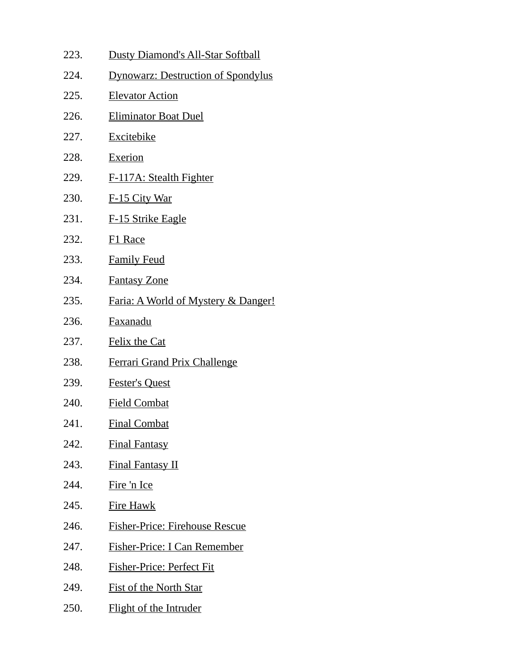223. Dusty Diamond's All-Star Softball 224. Dynowarz: Destruction of Spondylus 225. Elevator Action 226. Eliminator Boat Duel 227. Excitebike 228. Exerion 229. F-117A: Stealth Fighter 230. F-15 City War 231. F-15 Strike Eagle 232. F1 Race 233. Family Feud 234. Fantasy Zone 235. Faria: A World of Mystery & Danger! 236. Faxanadu 237. Felix the Cat 238. Ferrari Grand Prix Challenge 239. Fester's Quest 240. Field Combat 241. Final Combat 242. Final Fantasy 243. Final Fantasy II 244. Fire 'n Ice 245. Fire Hawk 246. Fisher-Price: Firehouse Rescue 247. Fisher-Price: I Can Remember 248. Fisher-Price: Perfect Fit 249. Fist of the North Star 250. Flight of the Intruder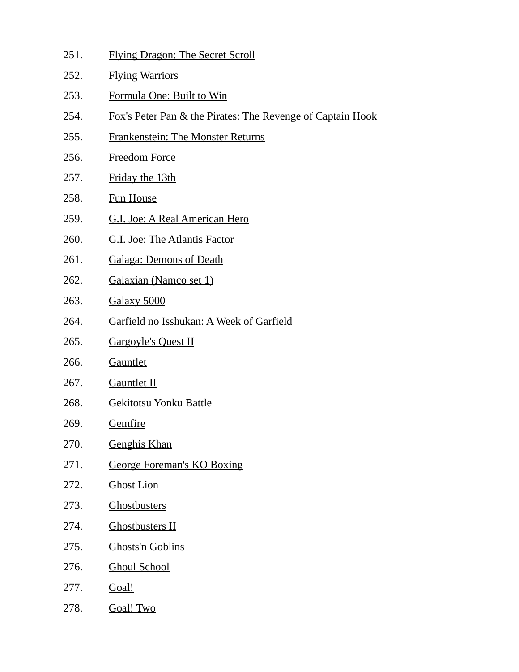- 251. Flying Dragon: The Secret Scroll
- 252. Flying Warriors
- 253. Formula One: Built to Win
- 254. Fox's Peter Pan & the Pirates: The Revenge of Captain Hook
- 255. Frankenstein: The Monster Returns
- 256. Freedom Force
- 257. Friday the 13th
- 258. Fun House
- 259. G.I. Joe: A Real American Hero
- 260. G.I. Joe: The Atlantis Factor
- 261. Galaga: Demons of Death
- 262. Galaxian (Namco set 1)
- 263. Galaxy 5000
- 264. Garfield no Isshukan: A Week of Garfield
- 265. Gargoyle's Quest II
- 266. Gauntlet
- 267. Gauntlet II
- 268. Gekitotsu Yonku Battle
- 269. Gemfire
- 270. Genghis Khan
- 271. George Foreman's KO Boxing
- 272. Ghost Lion
- 273. Ghostbusters
- 274. Ghostbusters II
- 275. Ghosts'n Goblins
- 276. Ghoul School
- 277. **Goal!**
- 278. Goal! Two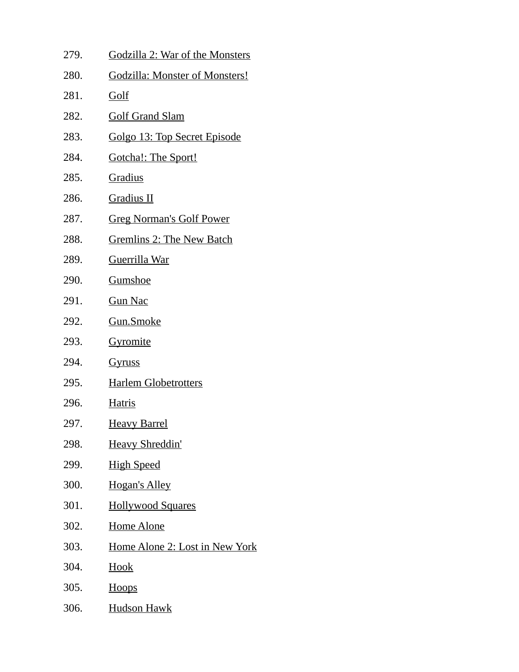| 279. | Godzilla 2: War of the Monsters       |
|------|---------------------------------------|
| 280. | <b>Godzilla: Monster of Monsters!</b> |
| 281. | <u>Golf</u>                           |
| 282. | <b>Golf Grand Slam</b>                |
| 283. | Golgo 13: Top Secret Episode          |
| 284. | <b>Gotcha!: The Sport!</b>            |
| 285. | <b>Gradius</b>                        |
| 286. | <b>Gradius II</b>                     |
| 287. | <b>Greg Norman's Golf Power</b>       |
| 288. | <b>Gremlins 2: The New Batch</b>      |
| 289. | <u>Guerrilla War</u>                  |
| 290. | <u>Gumshoe</u>                        |
| 291. | <b>Gun Nac</b>                        |
| 292. | <u>Gun.Smoke</u>                      |
| 293. | Gyromite                              |
| 294. | <u>Gyruss</u>                         |
| 295. | <b>Harlem Globetrotters</b>           |
| 296. | <b>Hatris</b>                         |
| 297. | <u>Heavy Barrel</u>                   |
| 298. | <b>Heavy Shreddin'</b>                |
| 299. | <b>High Speed</b>                     |
| 300. | <b>Hogan's Alley</b>                  |
| 301. | <b>Hollywood Squares</b>              |
| 302. | <b>Home Alone</b>                     |
| 303. | <u>Home Alone 2: Lost in New York</u> |
| 304. | <u>Hook</u>                           |
| 305. | <b>Hoops</b>                          |
| 306. | <b>Hudson Hawk</b>                    |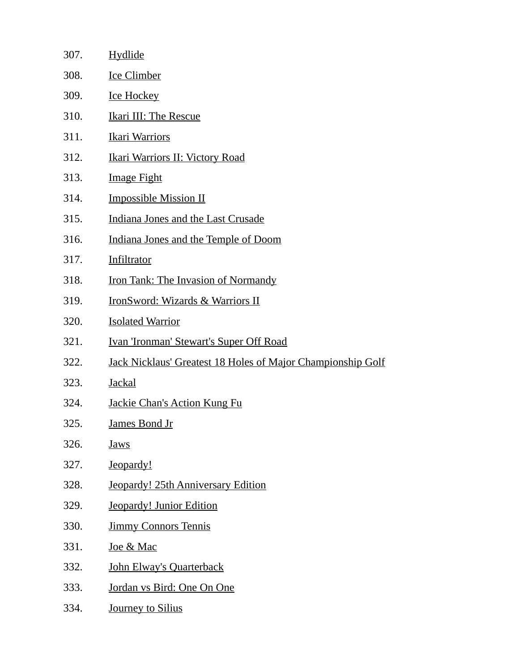| 307. | Hydlide                                                            |
|------|--------------------------------------------------------------------|
| 308. | <b>Ice Climber</b>                                                 |
| 309. | <b>Ice Hockey</b>                                                  |
| 310. | <b>Ikari III: The Rescue</b>                                       |
| 311. | <b>Ikari Warriors</b>                                              |
| 312. | <u> Ikari Warriors II: Victory Road</u>                            |
| 313. | <b>Image Fight</b>                                                 |
| 314. | <b>Impossible Mission II</b>                                       |
| 315. | Indiana Jones and the Last Crusade                                 |
| 316. | Indiana Jones and the Temple of Doom                               |
| 317. | Infiltrator                                                        |
| 318. | Iron Tank: The Invasion of Normandy                                |
| 319. | <b>IronSword: Wizards &amp; Warriors II</b>                        |
| 320. | <b>Isolated Warrior</b>                                            |
| 321. | <b>Ivan 'Ironman' Stewart's Super Off Road</b>                     |
| 322. | <b>Jack Nicklaus' Greatest 18 Holes of Major Championship Golf</b> |
| 323. | <b>Jackal</b>                                                      |
| 324. | <b>Jackie Chan's Action Kung Fu</b>                                |
| 325. | <u>James Bond Jr</u>                                               |
| 326. | <b>Jaws</b>                                                        |
| 327. | Jeopardy!                                                          |
| 328. | <b>Jeopardy! 25th Anniversary Edition</b>                          |
| 329. | <b>Jeopardy! Junior Edition</b>                                    |
| 330. | <b>Jimmy Connors Tennis</b>                                        |
| 331. | <u>Joe &amp; Mac</u>                                               |
| 332. | John Elway's Quarterback                                           |
| 333. | Jordan vs Bird: One On One                                         |
| 334. | Journey to Silius                                                  |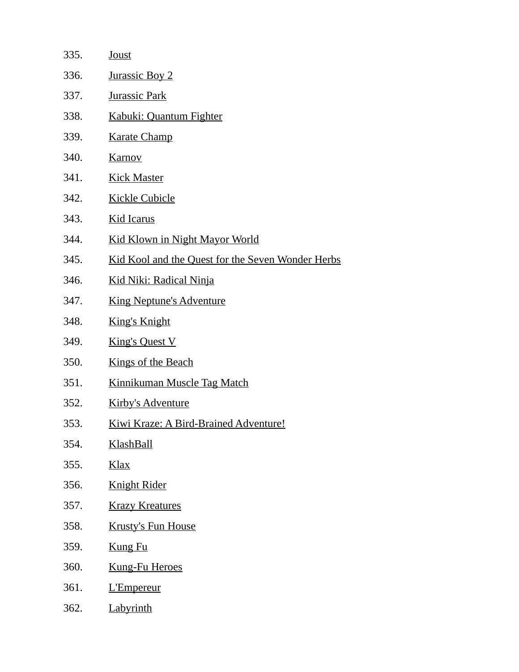| 335. | <b>Joust</b>                                      |
|------|---------------------------------------------------|
| 336. | <b>Jurassic Boy 2</b>                             |
| 337. | <b>Jurassic Park</b>                              |
| 338. | Kabuki: Quantum Fighter                           |
| 339. | <b>Karate Champ</b>                               |
| 340. | <b>Karnov</b>                                     |
| 341. | <b>Kick Master</b>                                |
| 342. | <b>Kickle Cubicle</b>                             |
| 343. | <b>Kid Icarus</b>                                 |
| 344. | <b>Kid Klown in Night Mayor World</b>             |
| 345. | Kid Kool and the Quest for the Seven Wonder Herbs |
| 346. | <u> Kid Niki: Radical Ninja</u>                   |
| 347. | <b>King Neptune's Adventure</b>                   |
| 348. | <b>King's Knight</b>                              |
| 349. | <b>King's Quest V</b>                             |
| 350. | <b>Kings of the Beach</b>                         |
| 351. | <b>Kinnikuman Muscle Tag Match</b>                |
| 352. | <b>Kirby's Adventure</b>                          |
| 353. | <b>Kiwi Kraze: A Bird-Brained Adventure!</b>      |
| 354. | KlashBall                                         |
| 355. | <u>Klax</u>                                       |
| 356. | <b>Knight Rider</b>                               |
| 357. | <b>Krazy Kreatures</b>                            |
| 358. | <b>Krusty's Fun House</b>                         |
| 359. | <b>Kung Fu</b>                                    |
| 360. | <b>Kung-Fu Heroes</b>                             |
| 361. | L'Empereur                                        |
| 362. | Labyrinth                                         |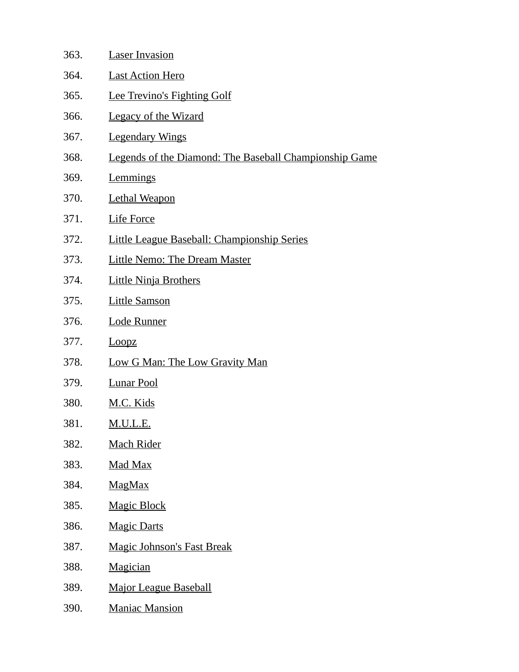| 363. | <b>Laser Invasion</b>                                  |
|------|--------------------------------------------------------|
| 364. | <b>Last Action Hero</b>                                |
| 365. | <b>Lee Trevino's Fighting Golf</b>                     |
| 366. | <b>Legacy of the Wizard</b>                            |
| 367. | <b>Legendary Wings</b>                                 |
| 368. | Legends of the Diamond: The Baseball Championship Game |
| 369. | <b>Lemmings</b>                                        |
| 370. | <b>Lethal Weapon</b>                                   |
| 371. | <b>Life Force</b>                                      |
| 372. | <b>Little League Baseball: Championship Series</b>     |
| 373. | Little Nemo: The Dream Master                          |
| 374. | <b>Little Ninja Brothers</b>                           |
| 375. | <b>Little Samson</b>                                   |
| 376. | <b>Lode Runner</b>                                     |
| 377. | Loopz                                                  |
| 378. | <b>Low G Man: The Low Gravity Man</b>                  |
| 379. | <b>Lunar Pool</b>                                      |
| 380. | M.C. Kids                                              |
| 381. | <u>M.U.L.E.</u>                                        |
| 382. | <b>Mach Rider</b>                                      |
| 383. | <u>Mad Max</u>                                         |
| 384. | <b>MagMax</b>                                          |
| 385. | <b>Magic Block</b>                                     |
| 386. | <b>Magic Darts</b>                                     |
| 387. | <b>Magic Johnson's Fast Break</b>                      |
| 388. | <b>Magician</b>                                        |
| 389. | <b>Major League Baseball</b>                           |
| 390. | <b>Maniac Mansion</b>                                  |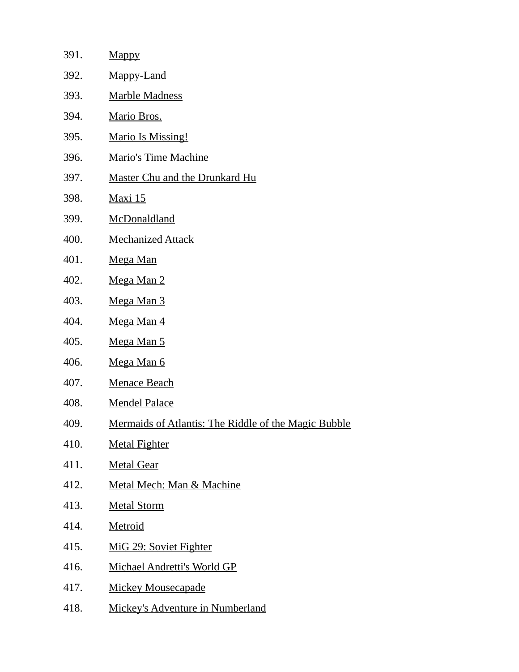| 391. | <b>Mappy</b>                                                |
|------|-------------------------------------------------------------|
| 392. | Mappy-Land                                                  |
| 393. | <b>Marble Madness</b>                                       |
| 394. | Mario Bros.                                                 |
| 395. | <b>Mario Is Missing!</b>                                    |
| 396. | <b>Mario's Time Machine</b>                                 |
| 397. | Master Chu and the Drunkard Hu                              |
| 398. | <u>Maxi 15</u>                                              |
| 399. | <b>McDonaldland</b>                                         |
| 400. | <b>Mechanized Attack</b>                                    |
| 401. | Mega Man                                                    |
| 402. | Mega Man 2                                                  |
| 403. | Mega Man 3                                                  |
| 404. | Mega Man 4                                                  |
| 405. | Mega Man 5                                                  |
| 406. | <u>Mega Man 6</u>                                           |
| 407. | <b>Menace Beach</b>                                         |
| 408. | <b>Mendel Palace</b>                                        |
| 409. | <u>Mermaids of Atlantis: The Riddle of the Magic Bubble</u> |
| 410. | <b>Metal Fighter</b>                                        |
| 411. | <b>Metal Gear</b>                                           |
| 412. | Metal Mech: Man & Machine                                   |
| 413. | <b>Metal Storm</b>                                          |
| 414. | <b>Metroid</b>                                              |
| 415. | MiG 29: Soviet Fighter                                      |
| 416. | Michael Andretti's World GP                                 |
| 417. | <b>Mickey Mousecapade</b>                                   |
| 418. | <b>Mickey's Adventure in Numberland</b>                     |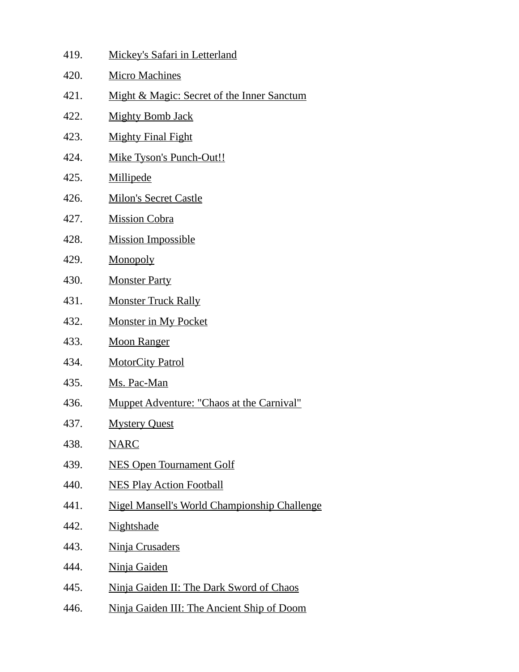| 419. | <b>Mickey's Safari in Letterland</b>                |
|------|-----------------------------------------------------|
| 420. | <b>Micro Machines</b>                               |
| 421. | Might & Magic: Secret of the Inner Sanctum          |
| 422. | <b>Mighty Bomb Jack</b>                             |
| 423. | <b>Mighty Final Fight</b>                           |
| 424. | Mike Tyson's Punch-Out!!                            |
| 425. | <b>Millipede</b>                                    |
| 426. | <b>Milon's Secret Castle</b>                        |
| 427. | <b>Mission Cobra</b>                                |
| 428. | <b>Mission Impossible</b>                           |
| 429. | Monopoly                                            |
| 430. | <b>Monster Party</b>                                |
| 431. | <b>Monster Truck Rally</b>                          |
| 432. | <b>Monster in My Pocket</b>                         |
| 433. | <b>Moon Ranger</b>                                  |
| 434. | <b>MotorCity Patrol</b>                             |
| 435. | Ms. Pac-Man                                         |
| 436. | Muppet Adventure: "Chaos at the Carnival"           |
| 437. | <b>Mystery Quest</b>                                |
| 438. | <b>NARC</b>                                         |
| 439. | <b>NES Open Tournament Golf</b>                     |
| 440. | <b>NES Play Action Football</b>                     |
| 441. | <b>Nigel Mansell's World Championship Challenge</b> |
| 442. | <b>Nightshade</b>                                   |
| 443. | Ninja Crusaders                                     |
| 444. | <u>Ninja Gaiden</u>                                 |
| 445. | Ninja Gaiden II: The Dark Sword of Chaos            |
| 446. | Ninja Gaiden III: The Ancient Ship of Doom          |
|      |                                                     |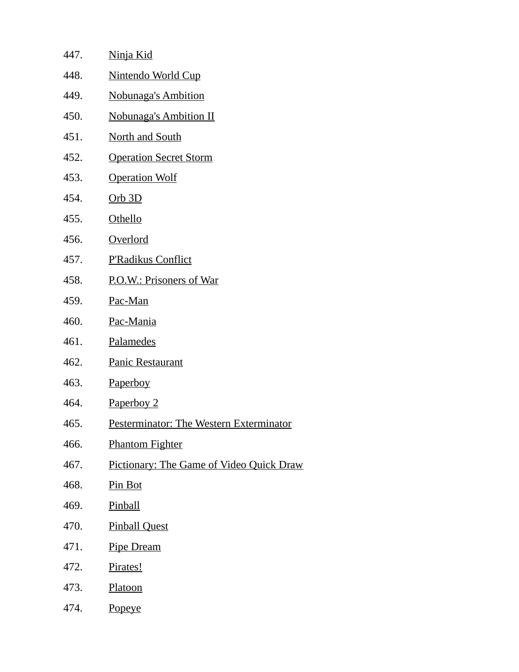| 447. | <u>Ninja Kid</u>                                |
|------|-------------------------------------------------|
| 448. | Nintendo World Cup                              |
| 449. | <b>Nobunaga's Ambition</b>                      |
| 450. | <b>Nobunaga's Ambition II</b>                   |
| 451. | <b>North and South</b>                          |
| 452. | <b>Operation Secret Storm</b>                   |
| 453. | <b>Operation Wolf</b>                           |
| 454. | $Orb$ 3D                                        |
| 455. | Othello                                         |
| 456. | <b>Overlord</b>                                 |
| 457. | <b>P'Radikus Conflict</b>                       |
| 458. | P.O.W.: Prisoners of War                        |
| 459. | Pac-Man                                         |
| 460. | Pac-Mania                                       |
| 461. | Palamedes                                       |
| 462. | <b>Panic Restaurant</b>                         |
| 463. | Paperboy                                        |
| 464. | Paperboy 2                                      |
| 465. | <b>Pesterminator: The Western Exterminator</b>  |
| 466. | <b>Phantom Fighter</b>                          |
| 467. | <b>Pictionary: The Game of Video Quick Draw</b> |
| 468. | Pin Bot                                         |
| 469. | <b>Pinball</b>                                  |
| 470. | <b>Pinball Quest</b>                            |
| 471. | <b>Pipe Dream</b>                               |
| 472. | Pirates!                                        |
| 473. | Platoon                                         |
| 474. | <b>Popeye</b>                                   |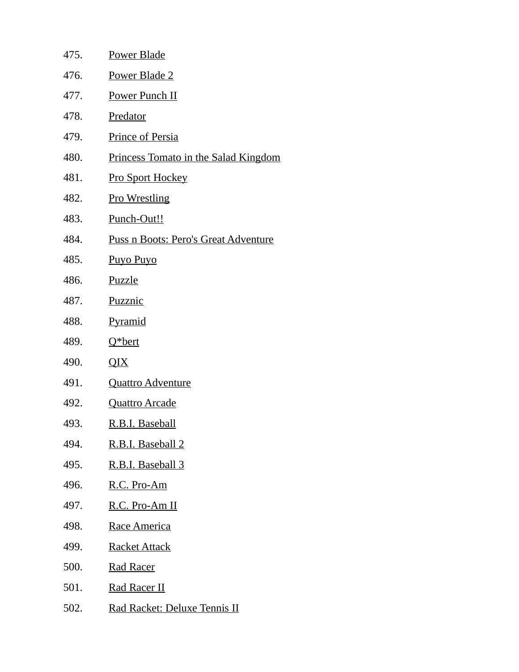| 475. | Power Blade                          |
|------|--------------------------------------|
| 476. | Power Blade 2                        |
| 477. | <b>Power Punch II</b>                |
| 478. | Predator                             |
| 479. | Prince of Persia                     |
| 480. | Princess Tomato in the Salad Kingdom |
| 481. | <b>Pro Sport Hockey</b>              |
| 482. | <b>Pro Wrestling</b>                 |
| 483. | Punch-Out!!                          |
| 484. | Puss n Boots: Pero's Great Adventure |
| 485. | <b>Puyo Puyo</b>                     |
| 486. | Puzzle                               |
| 487. | Puzznic                              |
| 488. | <b>Pyramid</b>                       |
| 489. | Q*bert                               |
| 490. | QIX                                  |
| 491. | <b>Quattro Adventure</b>             |
| 492. | <b>Quattro Arcade</b>                |
| 493. | <u>R.B.I. Baseball</u>               |
| 494. | R.B.I. Baseball 2                    |
| 495. | R.B.I. Baseball 3                    |
| 496. | R.C. Pro-Am                          |
| 497. | R.C. Pro-Am II                       |
| 498. | Race America                         |
| 499. | <b>Racket Attack</b>                 |
| 500. | <b>Rad Racer</b>                     |
| 501. | <u>Rad Racer II</u>                  |
| 502. | Rad Racket: Deluxe Tennis II         |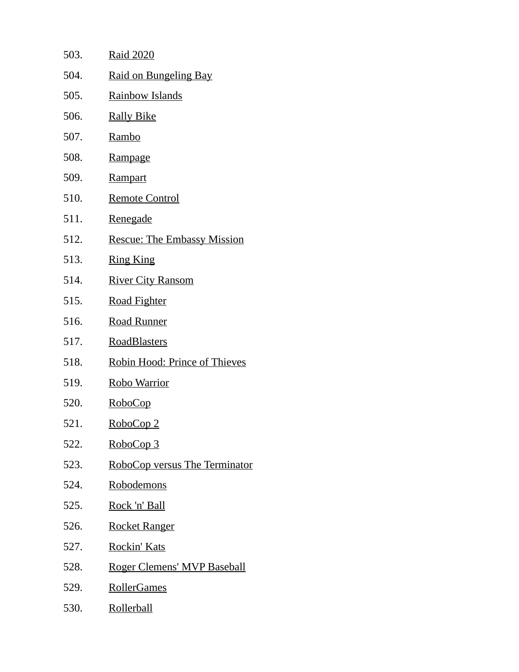| 503. | <u>Raid 2020</u>                   |
|------|------------------------------------|
| 504. | Raid on Bungeling Bay              |
| 505. | <b>Rainbow Islands</b>             |
| 506. | <u>Rally Bike</u>                  |
| 507. | <u>Rambo</u>                       |
| 508. | Rampage                            |
| 509. | <b>Rampart</b>                     |
| 510. | <u>Remote Control</u>              |
| 511. | <u>Renegade</u>                    |
| 512. | <b>Rescue: The Embassy Mission</b> |
| 513. | <b>Ring King</b>                   |
| 514. | <b>River City Ransom</b>           |
| 515. | <b>Road Fighter</b>                |
| 516. | <b>Road Runner</b>                 |
| 517. | <b>RoadBlasters</b>                |
| 518. | Robin Hood: Prince of Thieves      |
| 519. | <u>Robo Warrior</u>                |
| 520. | <u>RoboCop</u>                     |
| 521. | <u>RoboCop 2</u>                   |
| 522. | RoboCop 3                          |
| 523. | RoboCop versus The Terminator      |
| 524. | <u>Robodemons</u>                  |
| 525. | <u>Rock 'n' Ball</u>               |
| 526. | <b>Rocket Ranger</b>               |
| 527. | <u>Rockin' Kats</u>                |
| 528. | <u>Roger Clemens' MVP Baseball</u> |
| 529. | <b>RollerGames</b>                 |
| 530. | <u>Rollerball</u>                  |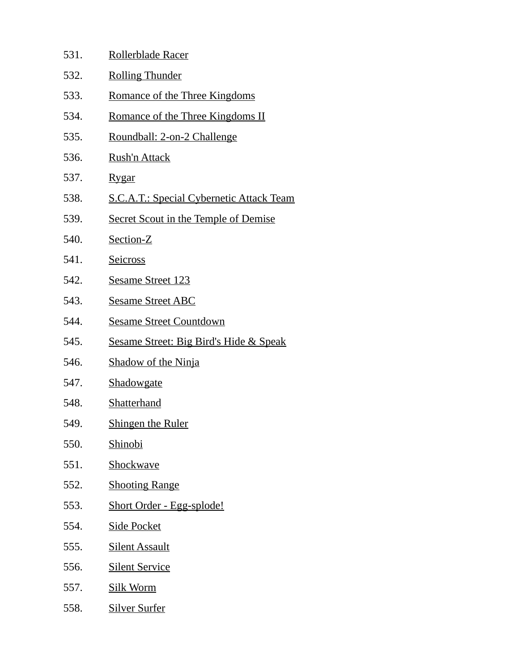| 531. | Rollerblade Racer                                 |
|------|---------------------------------------------------|
| 532. | <b>Rolling Thunder</b>                            |
| 533. | <u>Romance of the Three Kingdoms</u>              |
| 534. | <b>Romance of the Three Kingdoms II</b>           |
| 535. | <u> Roundball: 2-on-2 Challenge</u>               |
| 536. | Rush'n Attack                                     |
| 537. | <u>Rygar</u>                                      |
| 538. | <b>S.C.A.T.: Special Cybernetic Attack Team</b>   |
| 539. | <b>Secret Scout in the Temple of Demise</b>       |
| 540. | Section-Z                                         |
| 541. | <b>Seicross</b>                                   |
| 542. | <b>Sesame Street 123</b>                          |
| 543. | <b>Sesame Street ABC</b>                          |
| 544. | <b>Sesame Street Countdown</b>                    |
| 545. | <b>Sesame Street: Big Bird's Hide &amp; Speak</b> |
| 546. | <b>Shadow of the Ninja</b>                        |
| 547. | <b>Shadowgate</b>                                 |
| 548. | Shatterhand                                       |
| 549. | <b>Shingen the Ruler</b>                          |
| 550. | <b>Shinobi</b>                                    |
| 551. | Shockwave                                         |
| 552. | <b>Shooting Range</b>                             |
| 553. | Short Order - Egg-splode!                         |
| 554. | <b>Side Pocket</b>                                |
| 555. | <b>Silent Assault</b>                             |
| 556. | <b>Silent Service</b>                             |
| 557. | Silk Worm                                         |
| 558. | <b>Silver Surfer</b>                              |
|      |                                                   |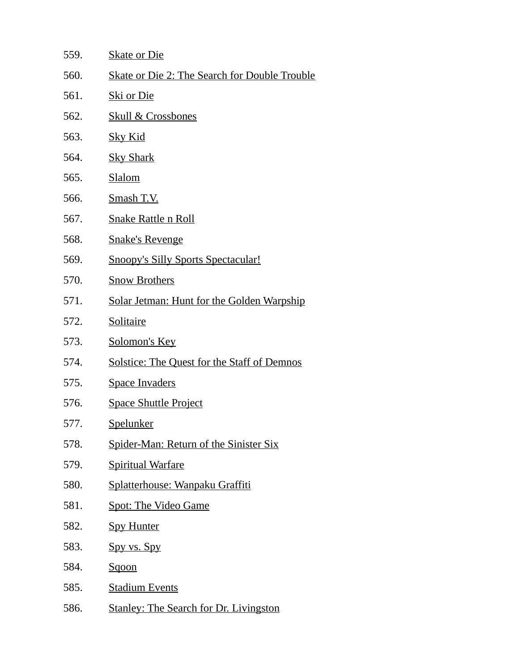| 559. | <b>Skate or Die</b>                                  |
|------|------------------------------------------------------|
| 560. | <b>Skate or Die 2: The Search for Double Trouble</b> |
| 561. | <u>Ski or Die</u>                                    |
| 562. | <b>Skull &amp; Crossbones</b>                        |
| 563. | <b>Sky Kid</b>                                       |
| 564. | <b>Sky Shark</b>                                     |
| 565. | <b>Slalom</b>                                        |
| 566. | Smash T.V.                                           |
| 567. | <b>Snake Rattle n Roll</b>                           |
| 568. | <b>Snake's Revenge</b>                               |
| 569. | <b>Snoopy's Silly Sports Spectacular!</b>            |
| 570. | <b>Snow Brothers</b>                                 |
| 571. | <b>Solar Jetman: Hunt for the Golden Warpship</b>    |
| 572. | <b>Solitaire</b>                                     |
| 573. | Solomon's Key                                        |
| 574. | <b>Solstice: The Quest for the Staff of Demnos</b>   |
| 575. | <b>Space Invaders</b>                                |
| 576. | <b>Space Shuttle Project</b>                         |
| 577. | <b>Spelunker</b>                                     |
| 578. | <b>Spider-Man: Return of the Sinister Six</b>        |
| 579. | <b>Spiritual Warfare</b>                             |
| 580. | Splatterhouse: Wanpaku Graffiti                      |
| 581. | <b>Spot: The Video Game</b>                          |
| 582. | <b>Spy Hunter</b>                                    |
| 583. | Spy vs. Spy                                          |
| 584. | Sqoon                                                |
| 585. | <b>Stadium Events</b>                                |
| 586. | <b>Stanley: The Search for Dr. Livingston</b>        |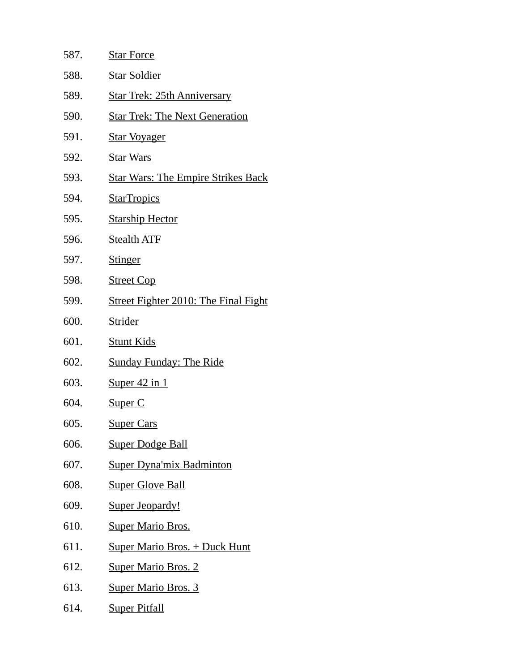| 587. | <b>Star Force</b>                           |
|------|---------------------------------------------|
| 588. | <b>Star Soldier</b>                         |
| 589. | <u> Star Trek: 25th Anniversary</u>         |
| 590. | <b>Star Trek: The Next Generation</b>       |
| 591. | <u>Star Voyager</u>                         |
| 592. | <b>Star Wars</b>                            |
| 593. | <b>Star Wars: The Empire Strikes Back</b>   |
| 594. | <b>StarTropics</b>                          |
| 595. | <b>Starship Hector</b>                      |
| 596. | <b>Stealth ATF</b>                          |
| 597. | <b>Stinger</b>                              |
| 598. | <b>Street Cop</b>                           |
| 599. | <b>Street Fighter 2010: The Final Fight</b> |
| 600. | <b>Strider</b>                              |
| 601. | <b>Stunt Kids</b>                           |
| 602. | <b>Sunday Funday: The Ride</b>              |
| 603. | <u>Super 42 in 1</u>                        |
| 604. | Super C                                     |
| 605. | <b>Super Cars</b>                           |
| 606. | <b>Super Dodge Ball</b>                     |
| 607. | <b>Super Dyna'mix Badminton</b>             |
| 608. | <b>Super Glove Ball</b>                     |
| 609. | <b>Super Jeopardy!</b>                      |
| 610. | <b>Super Mario Bros.</b>                    |
| 611. | <b>Super Mario Bros. + Duck Hunt</b>        |
| 612. | <b>Super Mario Bros. 2</b>                  |
| 613. | <b>Super Mario Bros. 3</b>                  |
| 614. | <b>Super Pitfall</b>                        |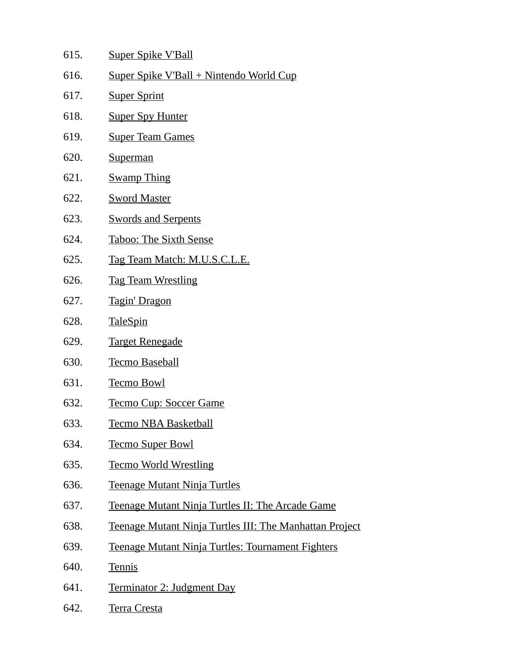- 615. Super Spike V'Ball
- 616. Super Spike V'Ball + Nintendo World Cup
- 617. Super Sprint
- 618. Super Spy Hunter
- 619. Super Team Games
- 620. Superman
- 621. Swamp Thing
- 622. Sword Master
- 623. Swords and Serpents
- 624. Taboo: The Sixth Sense
- 625. Tag Team Match: M.U.S.C.L.E.
- 626. Tag Team Wrestling
- 627. Tagin' Dragon
- 628. TaleSpin
- 629. Target Renegade
- 630. Tecmo Baseball
- 631. Tecmo Bowl
- 632. Tecmo Cup: Soccer Game
- 633. Tecmo NBA Basketball
- 634. Tecmo Super Bowl
- 635. Tecmo World Wrestling
- 636. Teenage Mutant Ninja Turtles
- 637. Teenage Mutant Ninja Turtles II: The Arcade Game
- 638. Teenage Mutant Ninja Turtles III: The Manhattan Project
- 639. Teenage Mutant Ninja Turtles: Tournament Fighters
- 640. Tennis
- 641. Terminator 2: Judgment Day
- 642. Terra Cresta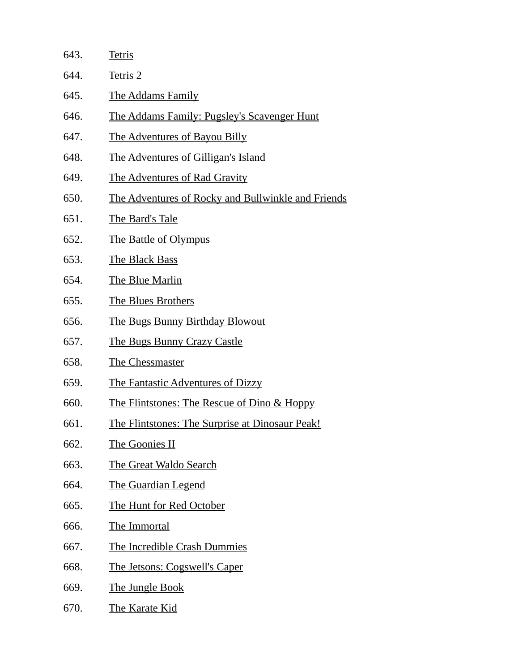| 643. | <b>Tetris</b>                                             |
|------|-----------------------------------------------------------|
| 644. | Tetris 2                                                  |
| 645. | <b>The Addams Family</b>                                  |
| 646. | <u>The Addams Family: Pugsley's Scavenger Hunt</u>        |
| 647. | <b>The Adventures of Bayou Billy</b>                      |
| 648. | <u>The Adventures of Gilligan's Island</u>                |
| 649. | <b>The Adventures of Rad Gravity</b>                      |
| 650. | <u>The Adventures of Rocky and Bullwinkle and Friends</u> |
| 651. | The Bard's Tale                                           |
| 652. | The Battle of Olympus                                     |
| 653. | The Black Bass                                            |
| 654. | The Blue Marlin                                           |
| 655. | <b>The Blues Brothers</b>                                 |
| 656. | <u>The Bugs Bunny Birthday Blowout</u>                    |
| 657. | <u>The Bugs Bunny Crazy Castle</u>                        |
| 658. | <b>The Chessmaster</b>                                    |
| 659. | The Fantastic Adventures of Dizzy                         |
| 660. | <u>The Flintstones: The Rescue of Dino &amp; Hoppy</u>    |
| 661. | The Flintstones: The Surprise at Dinosaur Peak!           |
| 662. | <b>The Goonies II</b>                                     |
| 663. | The Great Waldo Search                                    |
| 664. | <b>The Guardian Legend</b>                                |
| 665. | The Hunt for Red October                                  |
| 666. | <b>The Immortal</b>                                       |
| 667. | The Incredible Crash Dummies                              |
| 668. | <u>The Jetsons: Cogswell's Caper</u>                      |
| 669. | <b>The Jungle Book</b>                                    |
| 670. | The Karate Kid                                            |
|      |                                                           |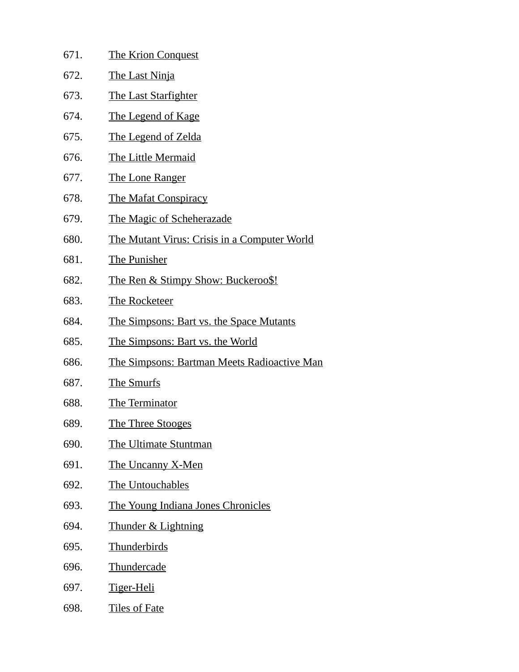| 671. | <b>The Krion Conquest</b>                           |
|------|-----------------------------------------------------|
| 672. | <b>The Last Ninja</b>                               |
| 673. | <b>The Last Starfighter</b>                         |
| 674. | <u>The Legend of Kage</u>                           |
| 675. | <b>The Legend of Zelda</b>                          |
| 676. | <b>The Little Mermaid</b>                           |
| 677. | <u>The Lone Ranger</u>                              |
| 678. | <b>The Mafat Conspiracy</b>                         |
| 679. | <b>The Magic of Scheherazade</b>                    |
| 680. | <b>The Mutant Virus: Crisis in a Computer World</b> |
| 681. | The Punisher                                        |
| 682. | <u>The Ren &amp; Stimpy Show: Buckeroo\$!</u>       |
| 683. | <b>The Rocketeer</b>                                |
| 684. | <b>The Simpsons: Bart vs. the Space Mutants</b>     |
| 685. | The Simpsons: Bart vs. the World                    |
| 686. | <b>The Simpsons: Bartman Meets Radioactive Man</b>  |
| 687. | <b>The Smurfs</b>                                   |
| 688. | <b>The Terminator</b>                               |
| 689. | The Three Stooges                                   |
| 690. | The Ultimate Stuntman                               |
| 691. | <b>The Uncanny X-Men</b>                            |
| 692. | The Untouchables                                    |
| 693. | The Young Indiana Jones Chronicles                  |
| 694. | <b>Thunder &amp; Lightning</b>                      |
| 695. | <b>Thunderbirds</b>                                 |
| 696. | Thundercade                                         |
| 697. | <u>Tiger-Heli</u>                                   |
| 698. | <b>Tiles of Fate</b>                                |
|      |                                                     |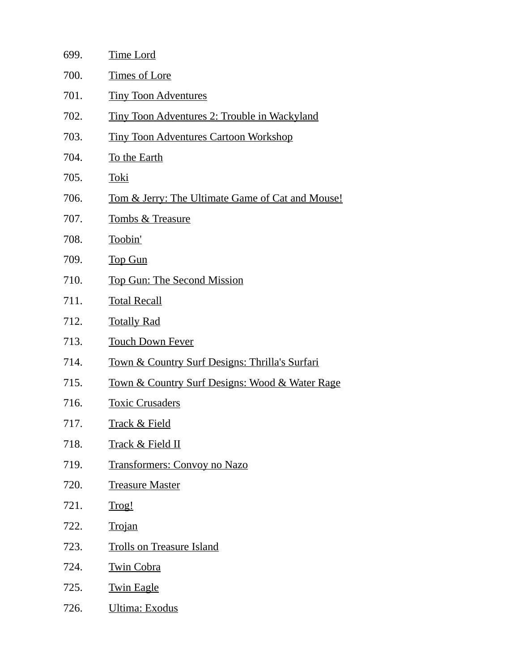| 699. | <b>Time Lord</b>                                              |
|------|---------------------------------------------------------------|
| 700. | <b>Times of Lore</b>                                          |
| 701. | <b>Tiny Toon Adventures</b>                                   |
| 702. | <u>Tiny Toon Adventures 2: Trouble in Wackyland</u>           |
| 703. | <b>Tiny Toon Adventures Cartoon Workshop</b>                  |
| 704. | To the Earth                                                  |
| 705. | <b>Toki</b>                                                   |
| 706. | <u>Tom &amp; Jerry: The Ultimate Game of Cat and Mouse!</u>   |
| 707. | <b>Tombs &amp; Treasure</b>                                   |
| 708. | Toobin'                                                       |
| 709. | <b>Top Gun</b>                                                |
| 710. | <b>Top Gun: The Second Mission</b>                            |
| 711. | <b>Total Recall</b>                                           |
| 712. | <b>Totally Rad</b>                                            |
| 713. | <b>Touch Down Fever</b>                                       |
| 714. | <b>Town &amp; Country Surf Designs: Thrilla's Surfari</b>     |
| 715. | <u>Town &amp; Country Surf Designs: Wood &amp; Water Rage</u> |
| 716. | <b>Toxic Crusaders</b>                                        |
| 717. | <b>Track &amp; Field</b>                                      |
| 718. | <b>Track &amp; Field II</b>                                   |
| 719. | <b>Transformers: Convoy no Nazo</b>                           |
| 720. | <b>Treasure Master</b>                                        |
| 721. | Trog!                                                         |
| 722. | <b>Trojan</b>                                                 |
| 723. | <b>Trolls on Treasure Island</b>                              |
| 724. | <b>Twin Cobra</b>                                             |
| 725. | <b>Twin Eagle</b>                                             |
| 726. | <b>Ultima: Exodus</b>                                         |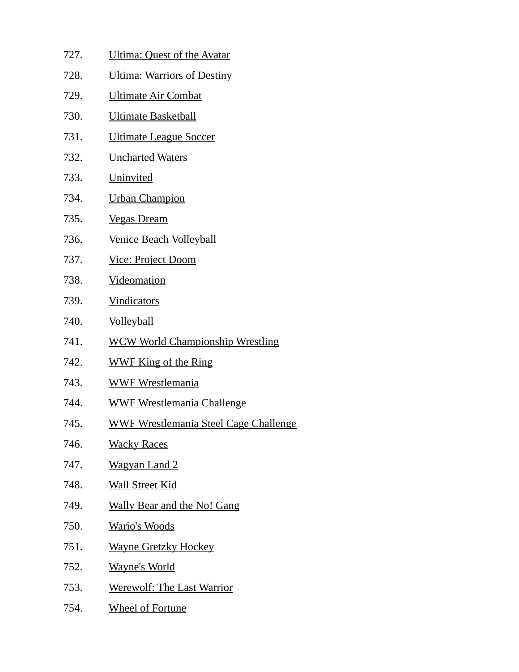- 727. Ultima: Quest of the Avatar 728. Ultima: Warriors of Destiny 729. Ultimate Air Combat 730. Ultimate Basketball 731. Ultimate League Soccer 732. Uncharted Waters 733. Uninvited 734. Urban Champion 735. Vegas Dream 736. Venice Beach Volleyball 737. Vice: Project Doom 738. Videomation 739. Vindicators 740. Volleyball 741. WCW World Championship Wrestling 742. WWF King of the Ring 743. WWF Wrestlemania 744. WWF Wrestlemania Challenge 745. WWF Wrestlemania Steel Cage Challenge 746. Wacky Races 747. Wagyan Land 2 748. Wall Street Kid 749. Wally Bear and the No! Gang 750. Wario's Woods 751. Wayne Gretzky Hockey 752. Wayne's World
- 753. Werewolf: The Last Warrior
- 754. Wheel of Fortune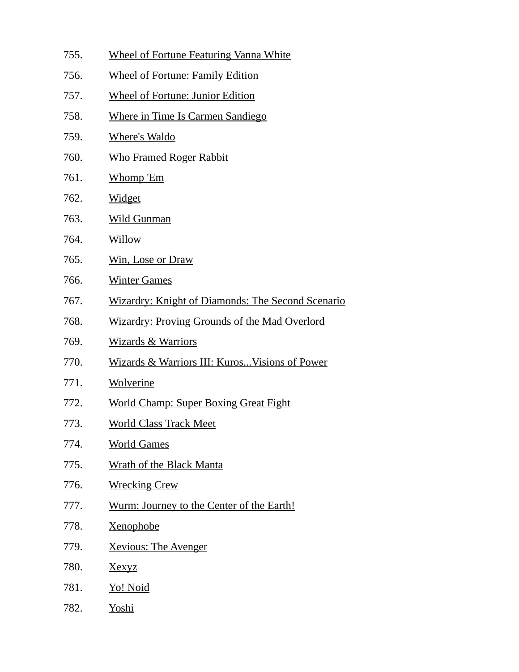| 755. | <b>Wheel of Fortune Featuring Vanna White</b>            |
|------|----------------------------------------------------------|
| 756. | <b>Wheel of Fortune: Family Edition</b>                  |
| 757. | <b>Wheel of Fortune: Junior Edition</b>                  |
| 758. | <b>Where in Time Is Carmen Sandiego</b>                  |
| 759. | <b>Where's Waldo</b>                                     |
| 760. | <b>Who Framed Roger Rabbit</b>                           |
| 761. | Whomp 'Em                                                |
| 762. | <b>Widget</b>                                            |
| 763. | <b>Wild Gunman</b>                                       |
| 764. | <b>Willow</b>                                            |
| 765. | <b>Win, Lose or Draw</b>                                 |
| 766. | <b>Winter Games</b>                                      |
| 767. | <b>Wizardry: Knight of Diamonds: The Second Scenario</b> |
| 768. | <b>Wizardry: Proving Grounds of the Mad Overlord</b>     |
| 769. | <b>Wizards &amp; Warriors</b>                            |
| 770. | Wizards & Warriors III: Kuros Visions of Power           |
| 771. | Wolverine                                                |
| 772. | <b>World Champ: Super Boxing Great Fight</b>             |
| 773. | <b>World Class Track Meet</b>                            |
| 774. | <b>World Games</b>                                       |
| 775. | <b>Wrath of the Black Manta</b>                          |
| 776. | <b>Wrecking Crew</b>                                     |
| 777. | Wurm: Journey to the Center of the Earth!                |
| 778. | <u>Xenophobe</u>                                         |
| 779. | <b>Xevious: The Avenger</b>                              |
| 780. | <b>Xexyz</b>                                             |
| 781. | <u>Yo! Noid</u>                                          |
| 782. | Yoshi                                                    |
|      |                                                          |